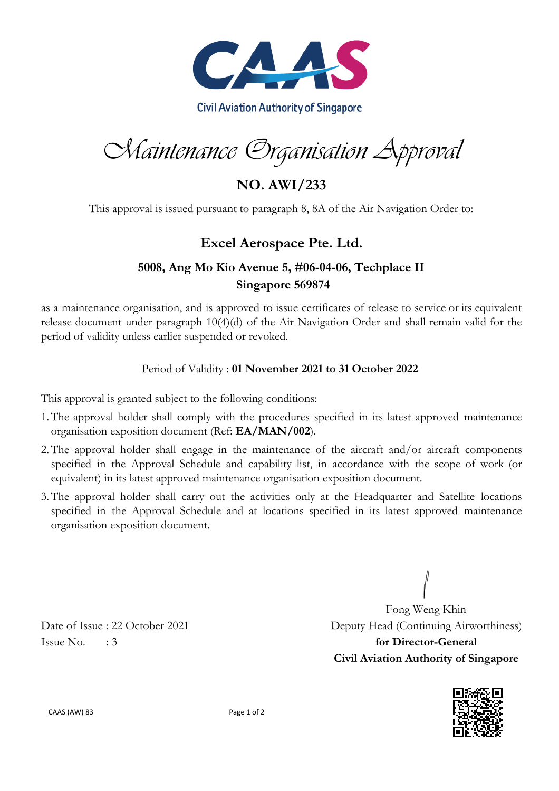

Maintenance Organisation Approval

**NO. AWI/233**

This approval is issued pursuant to paragraph 8, 8A of the Air Navigation Order to:

## **Excel Aerospace Pte. Ltd.**

## **5008, Ang Mo Kio Avenue 5, #06-04-06, Techplace II Singapore 569874**

as a maintenance organisation, and is approved to issue certificates of release to service or its equivalent release document under paragraph 10(4)(d) of the Air Navigation Order and shall remain valid for the period of validity unless earlier suspended or revoked.

## Period of Validity : **01 November 2021 to 31 October 2022**

This approval is granted subject to the following conditions:

- 1.The approval holder shall comply with the procedures specified in its latest approved maintenance organisation exposition document (Ref: **EA/MAN/002**).
- 2.The approval holder shall engage in the maintenance of the aircraft and/or aircraft components specified in the Approval Schedule and capability list, in accordance with the scope of work (or equivalent) in its latest approved maintenance organisation exposition document.
- 3.The approval holder shall carry out the activities only at the Headquarter and Satellite locations specified in the Approval Schedule and at locations specified in its latest approved maintenance organisation exposition document.

Fong Weng Khin Date of Issue : 22 October 2021 Deputy Head (Continuing Airworthiness) Issue No. : 3 **for Director-General Civil Aviation Authority of Singapore**



CAAS (AW) 83 Page 1 of 2